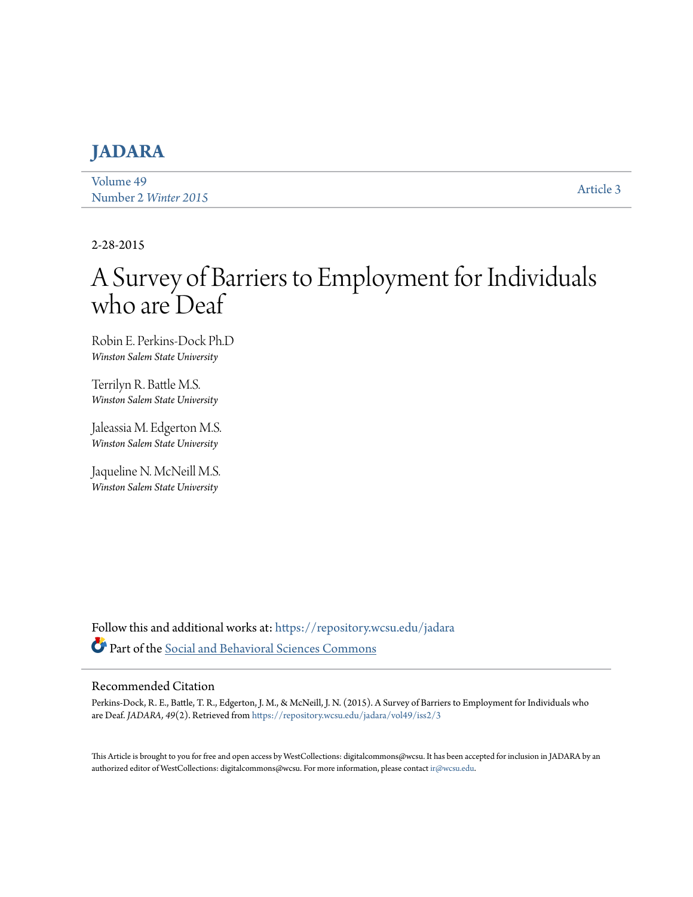# **[JADARA](https://repository.wcsu.edu/jadara?utm_source=repository.wcsu.edu%2Fjadara%2Fvol49%2Fiss2%2F3&utm_medium=PDF&utm_campaign=PDFCoverPages)**

[Volume 49](https://repository.wcsu.edu/jadara/vol49?utm_source=repository.wcsu.edu%2Fjadara%2Fvol49%2Fiss2%2F3&utm_medium=PDF&utm_campaign=PDFCoverPages) Number 2 *[Winter 2015](https://repository.wcsu.edu/jadara/vol49/iss2?utm_source=repository.wcsu.edu%2Fjadara%2Fvol49%2Fiss2%2F3&utm_medium=PDF&utm_campaign=PDFCoverPages)* [Article 3](https://repository.wcsu.edu/jadara/vol49/iss2/3?utm_source=repository.wcsu.edu%2Fjadara%2Fvol49%2Fiss2%2F3&utm_medium=PDF&utm_campaign=PDFCoverPages)

#### 2-28-2015

# A Survey of Barriers to Employment for Individuals who are Deaf

Robin E. Perkins-Dock Ph.D *Winston Salem State University*

Terrilyn R. Battle M.S. *Winston Salem State University*

Jaleassia M. Edgerton M.S. *Winston Salem State University*

Jaqueline N. McNeill M.S. *Winston Salem State University*

Follow this and additional works at: [https://repository.wcsu.edu/jadara](https://repository.wcsu.edu/jadara?utm_source=repository.wcsu.edu%2Fjadara%2Fvol49%2Fiss2%2F3&utm_medium=PDF&utm_campaign=PDFCoverPages) Part of the [Social and Behavioral Sciences Commons](http://network.bepress.com/hgg/discipline/316?utm_source=repository.wcsu.edu%2Fjadara%2Fvol49%2Fiss2%2F3&utm_medium=PDF&utm_campaign=PDFCoverPages)

#### Recommended Citation

Perkins-Dock, R. E., Battle, T. R., Edgerton, J. M., & McNeill, J. N. (2015). A Survey of Barriers to Employment for Individuals who are Deaf. *JADARA, 49*(2). Retrieved from [https://repository.wcsu.edu/jadara/vol49/iss2/3](https://repository.wcsu.edu/jadara/vol49/iss2/3?utm_source=repository.wcsu.edu%2Fjadara%2Fvol49%2Fiss2%2F3&utm_medium=PDF&utm_campaign=PDFCoverPages)

This Article is brought to you for free and open access by WestCollections: digitalcommons@wcsu. It has been accepted for inclusion in JADARA by an authorized editor of WestCollections: digitalcommons@wcsu. For more information, please contact [ir@wcsu.edu](mailto:ir@wcsu.edu).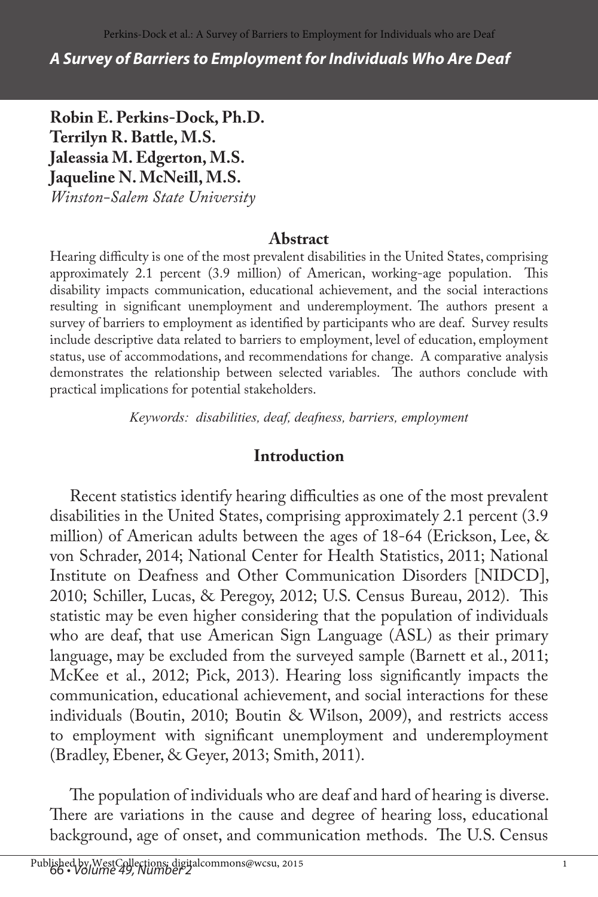*A Survey of Barriers to Employment for Individuals Who Are Deaf*

**Robin E. Perkins-Dock, Ph.D. Terrilyn R. Battle, M.S. Jaleassia M. Edgerton, M.S. Jaqueline N. McNeill, M.S.** *Winston-Salem State University*

#### **Abstract**

Hearing difficulty is one of the most prevalent disabilities in the United States, comprising approximately 2.1 percent (3.9 million) of American, working-age population. This disability impacts communication, educational achievement, and the social interactions resulting in significant unemployment and underemployment. The authors present a survey of barriers to employment as identified by participants who are deaf. Survey results include descriptive data related to barriers to employment, level of education, employment status, use of accommodations, and recommendations for change. A comparative analysis demonstrates the relationship between selected variables. The authors conclude with practical implications for potential stakeholders.

*Keywords: disabilities, deaf, deafness, barriers, employment*

#### **Introduction**

Recent statistics identify hearing difficulties as one of the most prevalent disabilities in the United States, comprising approximately 2.1 percent (3.9 million) of American adults between the ages of 18-64 (Erickson, Lee, & von Schrader, 2014; National Center for Health Statistics, 2011; National Institute on Deafness and Other Communication Disorders [NIDCD], 2010; Schiller, Lucas, & Peregoy, 2012; U.S. Census Bureau, 2012). This statistic may be even higher considering that the population of individuals who are deaf, that use American Sign Language (ASL) as their primary language, may be excluded from the surveyed sample (Barnett et al., 2011; McKee et al., 2012; Pick, 2013). Hearing loss significantly impacts the communication, educational achievement, and social interactions for these individuals (Boutin, 2010; Boutin & Wilson, 2009), and restricts access to employment with significant unemployment and underemployment (Bradley, Ebener, & Geyer, 2013; Smith, 2011).

The population of individuals who are deaf and hard of hearing is diverse. There are variations in the cause and degree of hearing loss, educational background, age of onset, and communication methods. The U.S. Census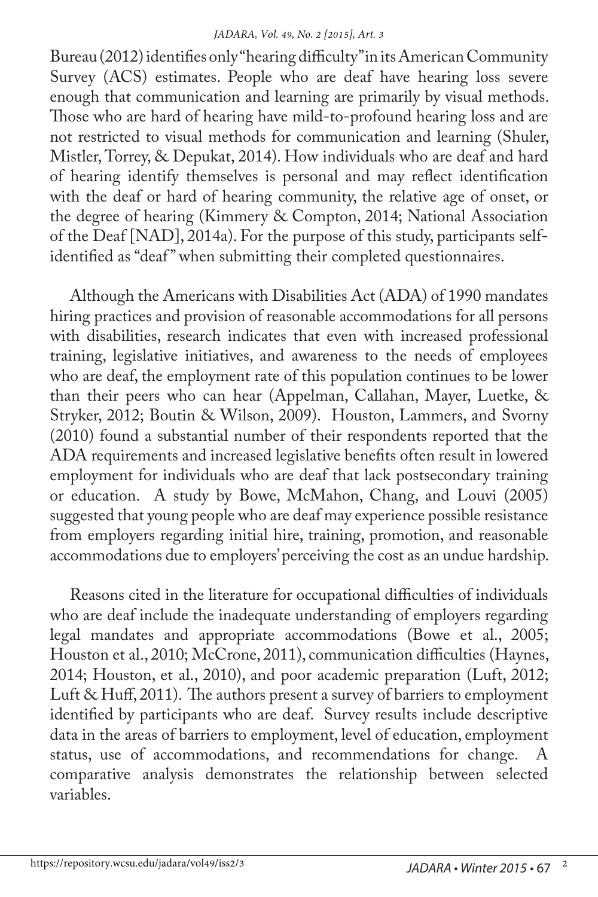Bureau (2012) identifies only "hearing difficulty" in its American Community Survey (ACS) estimates. People who are deaf have hearing loss severe enough that communication and learning are primarily by visual methods. Those who are hard of hearing have mild-to-profound hearing loss and are not restricted to visual methods for communication and learning (Shuler, Mistler, Torrey, & Depukat, 2014). How individuals who are deaf and hard of hearing identify themselves is personal and may reflect identification with the deaf or hard of hearing community, the relative age of onset, or the degree of hearing (Kimmery & Compton, 2014; National Association of the Deaf [NAD], 2014a). For the purpose of this study, participants selfidentified as "deaf " when submitting their completed questionnaires.

Although the Americans with Disabilities Act (ADA) of 1990 mandates hiring practices and provision of reasonable accommodations for all persons with disabilities, research indicates that even with increased professional training, legislative initiatives, and awareness to the needs of employees who are deaf, the employment rate of this population continues to be lower than their peers who can hear (Appelman, Callahan, Mayer, Luetke, & Stryker, 2012; Boutin & Wilson, 2009). Houston, Lammers, and Svorny (2010) found a substantial number of their respondents reported that the ADA requirements and increased legislative benefits often result in lowered employment for individuals who are deaf that lack postsecondary training or education. A study by Bowe, McMahon, Chang, and Louvi (2005) suggested that young people who are deaf may experience possible resistance from employers regarding initial hire, training, promotion, and reasonable accommodations due to employers' perceiving the cost as an undue hardship.

Reasons cited in the literature for occupational difficulties of individuals who are deaf include the inadequate understanding of employers regarding legal mandates and appropriate accommodations (Bowe et al., 2005; Houston et al., 2010; McCrone, 2011), communication difficulties (Haynes, 2014; Houston, et al., 2010), and poor academic preparation (Luft, 2012; Luft & Huff, 2011). The authors present a survey of barriers to employment identified by participants who are deaf. Survey results include descriptive data in the areas of barriers to employment, level of education, employment status, use of accommodations, and recommendations for change. A comparative analysis demonstrates the relationship between selected variables.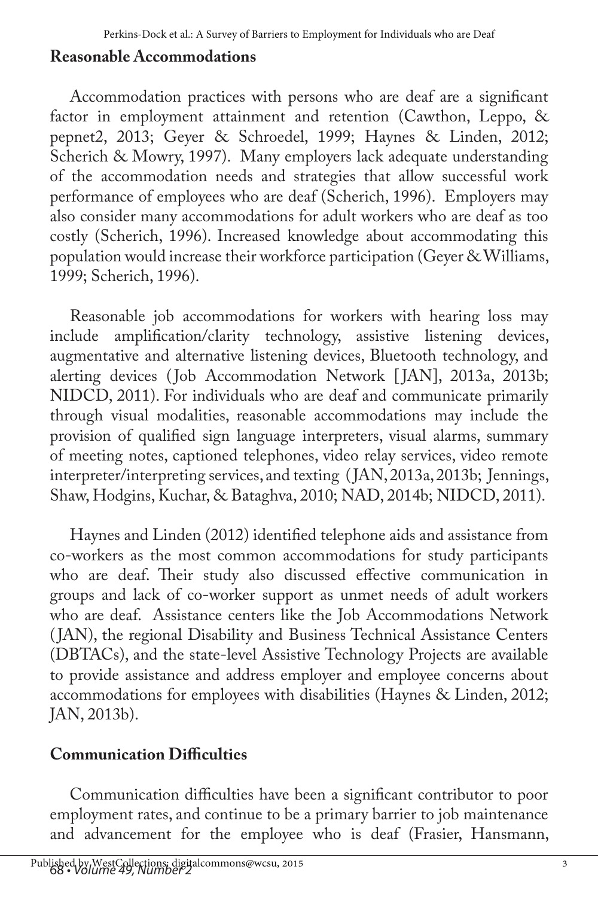## **Reasonable Accommodations**

Accommodation practices with persons who are deaf are a significant factor in employment attainment and retention (Cawthon, Leppo, & pepnet2, 2013; Geyer & Schroedel, 1999; Haynes & Linden, 2012; Scherich & Mowry, 1997). Many employers lack adequate understanding of the accommodation needs and strategies that allow successful work performance of employees who are deaf (Scherich, 1996). Employers may also consider many accommodations for adult workers who are deaf as too costly (Scherich, 1996). Increased knowledge about accommodating this population would increase their workforce participation (Geyer & Williams, 1999; Scherich, 1996).

Reasonable job accommodations for workers with hearing loss may include amplification/clarity technology, assistive listening devices, augmentative and alternative listening devices, Bluetooth technology, and alerting devices (Job Accommodation Network [JAN], 2013a, 2013b; NIDCD, 2011). For individuals who are deaf and communicate primarily through visual modalities, reasonable accommodations may include the provision of qualified sign language interpreters, visual alarms, summary of meeting notes, captioned telephones, video relay services, video remote interpreter/interpreting services, and texting ( JAN, 2013a, 2013b; Jennings, Shaw, Hodgins, Kuchar, & Bataghva, 2010; NAD, 2014b; NIDCD, 2011).

Haynes and Linden (2012) identified telephone aids and assistance from co-workers as the most common accommodations for study participants who are deaf. Their study also discussed effective communication in groups and lack of co-worker support as unmet needs of adult workers who are deaf. Assistance centers like the Job Accommodations Network ( JAN), the regional Disability and Business Technical Assistance Centers (DBTACs), and the state-level Assistive Technology Projects are available to provide assistance and address employer and employee concerns about accommodations for employees with disabilities (Haynes & Linden, 2012; JAN, 2013b).

## **Communication Difficulties**

Communication difficulties have been a significant contributor to poor employment rates, and continue to be a primary barrier to job maintenance and advancement for the employee who is deaf (Frasier, Hansmann,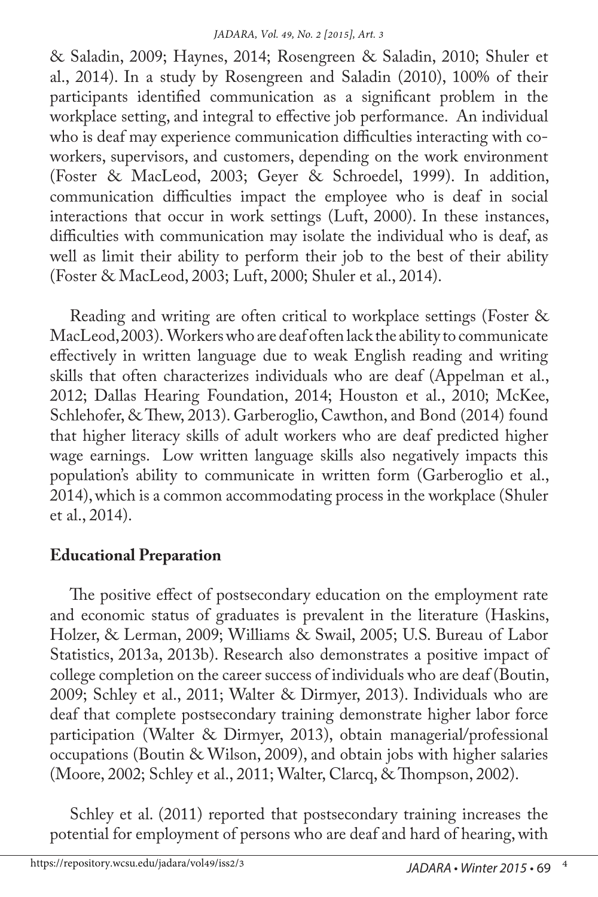& Saladin, 2009; Haynes, 2014; Rosengreen & Saladin, 2010; Shuler et al., 2014). In a study by Rosengreen and Saladin (2010), 100% of their participants identified communication as a significant problem in the workplace setting, and integral to effective job performance. An individual who is deaf may experience communication difficulties interacting with coworkers, supervisors, and customers, depending on the work environment (Foster & MacLeod, 2003; Geyer & Schroedel, 1999). In addition, communication difficulties impact the employee who is deaf in social interactions that occur in work settings (Luft, 2000). In these instances, difficulties with communication may isolate the individual who is deaf, as well as limit their ability to perform their job to the best of their ability (Foster & MacLeod, 2003; Luft, 2000; Shuler et al., 2014).

Reading and writing are often critical to workplace settings (Foster & MacLeod, 2003). Workers who are deaf often lack the ability to communicate effectively in written language due to weak English reading and writing skills that often characterizes individuals who are deaf (Appelman et al., 2012; Dallas Hearing Foundation, 2014; Houston et al., 2010; McKee, Schlehofer, & Thew, 2013). Garberoglio, Cawthon, and Bond (2014) found that higher literacy skills of adult workers who are deaf predicted higher wage earnings. Low written language skills also negatively impacts this population's ability to communicate in written form (Garberoglio et al., 2014), which is a common accommodating process in the workplace (Shuler et al., 2014).

## **Educational Preparation**

The positive effect of postsecondary education on the employment rate and economic status of graduates is prevalent in the literature (Haskins, Holzer, & Lerman, 2009; Williams & Swail, 2005; U.S. Bureau of Labor Statistics, 2013a, 2013b). Research also demonstrates a positive impact of college completion on the career success of individuals who are deaf (Boutin, 2009; Schley et al., 2011; Walter & Dirmyer, 2013). Individuals who are deaf that complete postsecondary training demonstrate higher labor force participation (Walter & Dirmyer, 2013), obtain managerial/professional occupations (Boutin & Wilson, 2009), and obtain jobs with higher salaries (Moore, 2002; Schley et al., 2011; Walter, Clarcq, & Thompson, 2002).

Schley et al. (2011) reported that postsecondary training increases the potential for employment of persons who are deaf and hard of hearing, with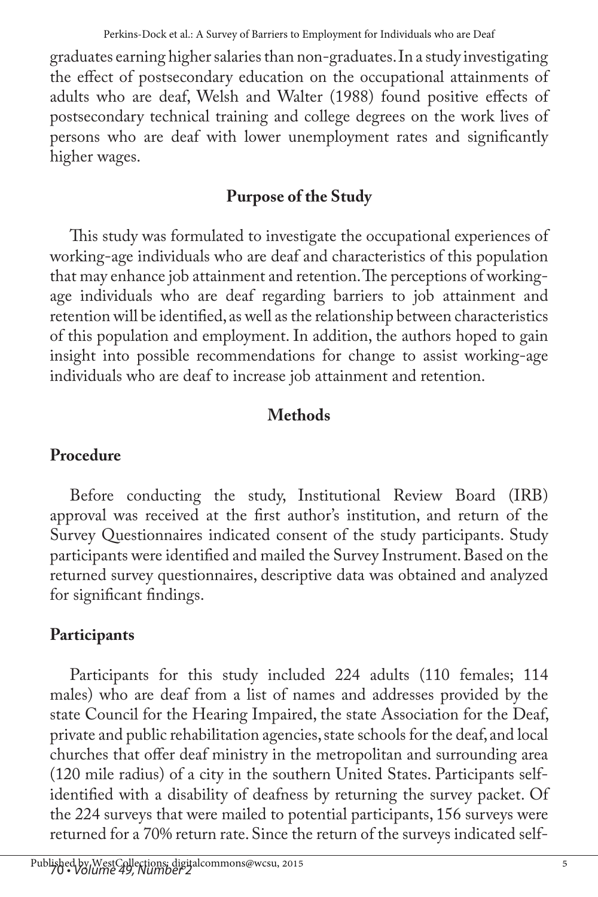graduates earning higher salaries than non-graduates. In a study investigating the effect of postsecondary education on the occupational attainments of adults who are deaf, Welsh and Walter (1988) found positive effects of postsecondary technical training and college degrees on the work lives of persons who are deaf with lower unemployment rates and significantly higher wages.

# **Purpose of the Study**

This study was formulated to investigate the occupational experiences of working-age individuals who are deaf and characteristics of this population that may enhance job attainment and retention. The perceptions of workingage individuals who are deaf regarding barriers to job attainment and retention will be identified, as well as the relationship between characteristics of this population and employment. In addition, the authors hoped to gain insight into possible recommendations for change to assist working-age individuals who are deaf to increase job attainment and retention.

# **Methods**

# **Procedure**

Before conducting the study, Institutional Review Board (IRB) approval was received at the first author's institution, and return of the Survey Questionnaires indicated consent of the study participants. Study participants were identified and mailed the Survey Instrument. Based on the returned survey questionnaires, descriptive data was obtained and analyzed for significant findings.

# **Participants**

Participants for this study included 224 adults (110 females; 114 males) who are deaf from a list of names and addresses provided by the state Council for the Hearing Impaired, the state Association for the Deaf, private and public rehabilitation agencies, state schools for the deaf, and local churches that offer deaf ministry in the metropolitan and surrounding area (120 mile radius) of a city in the southern United States. Participants selfidentified with a disability of deafness by returning the survey packet. Of the 224 surveys that were mailed to potential participants, 156 surveys were returned for a 70% return rate. Since the return of the surveys indicated self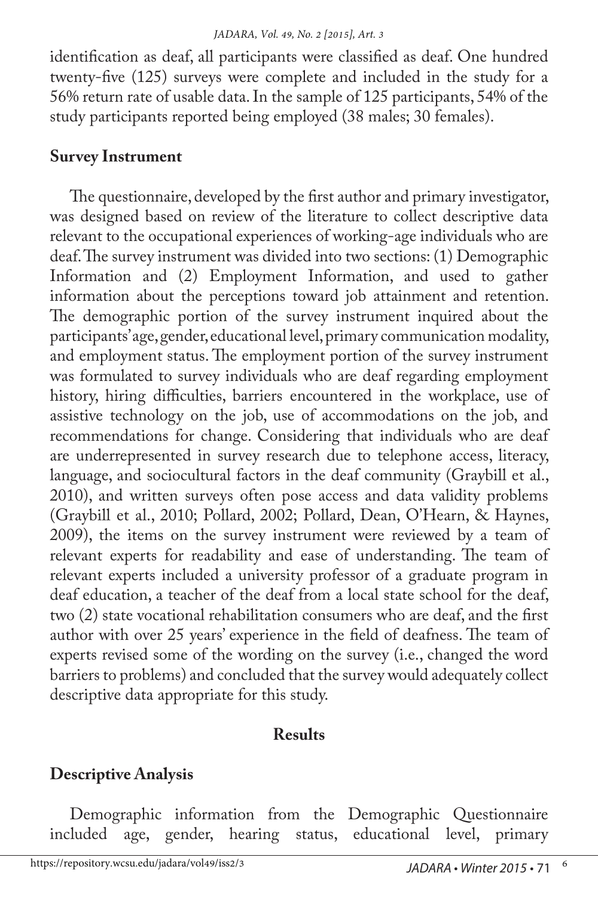identification as deaf, all participants were classified as deaf. One hundred twenty-five (125) surveys were complete and included in the study for a 56% return rate of usable data. In the sample of 125 participants, 54% of the study participants reported being employed (38 males; 30 females).

#### **Survey Instrument**

The questionnaire, developed by the first author and primary investigator, was designed based on review of the literature to collect descriptive data relevant to the occupational experiences of working-age individuals who are deaf. The survey instrument was divided into two sections: (1) Demographic Information and (2) Employment Information, and used to gather information about the perceptions toward job attainment and retention. The demographic portion of the survey instrument inquired about the participants' age, gender, educational level, primary communication modality, and employment status. The employment portion of the survey instrument was formulated to survey individuals who are deaf regarding employment history, hiring difficulties, barriers encountered in the workplace, use of assistive technology on the job, use of accommodations on the job, and recommendations for change. Considering that individuals who are deaf are underrepresented in survey research due to telephone access, literacy, language, and sociocultural factors in the deaf community (Graybill et al., 2010), and written surveys often pose access and data validity problems (Graybill et al., 2010; Pollard, 2002; Pollard, Dean, O'Hearn, & Haynes, 2009), the items on the survey instrument were reviewed by a team of relevant experts for readability and ease of understanding. The team of relevant experts included a university professor of a graduate program in deaf education, a teacher of the deaf from a local state school for the deaf, two (2) state vocational rehabilitation consumers who are deaf, and the first author with over 25 years' experience in the field of deafness. The team of experts revised some of the wording on the survey (i.e., changed the word barriers to problems) and concluded that the survey would adequately collect descriptive data appropriate for this study.

## **Results**

## **Descriptive Analysis**

Demographic information from the Demographic Questionnaire included age, gender, hearing status, educational level, primary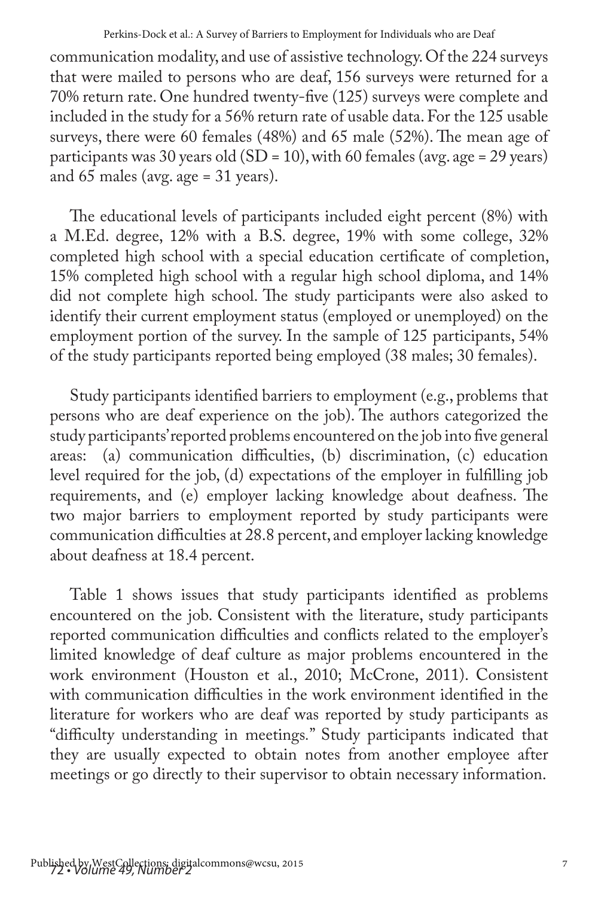communication modality, and use of assistive technology. Of the 224 surveys that were mailed to persons who are deaf, 156 surveys were returned for a 70% return rate. One hundred twenty-five (125) surveys were complete and included in the study for a 56% return rate of usable data. For the 125 usable surveys, there were 60 females (48%) and 65 male (52%). The mean age of participants was 30 years old (SD = 10), with 60 females (avg. age = 29 years) and 65 males (avg. age = 31 years).

The educational levels of participants included eight percent (8%) with a M.Ed. degree, 12% with a B.S. degree, 19% with some college, 32% completed high school with a special education certificate of completion, 15% completed high school with a regular high school diploma, and 14% did not complete high school. The study participants were also asked to identify their current employment status (employed or unemployed) on the employment portion of the survey. In the sample of 125 participants, 54% of the study participants reported being employed (38 males; 30 females).

Study participants identified barriers to employment (e.g., problems that persons who are deaf experience on the job). The authors categorized the study participants' reported problems encountered on the job into five general areas: (a) communication difficulties, (b) discrimination, (c) education level required for the job, (d) expectations of the employer in fulfilling job requirements, and (e) employer lacking knowledge about deafness. The two major barriers to employment reported by study participants were communication difficulties at 28.8 percent, and employer lacking knowledge about deafness at 18.4 percent.

Table 1 shows issues that study participants identified as problems encountered on the job. Consistent with the literature, study participants reported communication difficulties and conflicts related to the employer's limited knowledge of deaf culture as major problems encountered in the work environment (Houston et al., 2010; McCrone, 2011). Consistent with communication difficulties in the work environment identified in the literature for workers who are deaf was reported by study participants as "difficulty understanding in meetings*.*" Study participants indicated that they are usually expected to obtain notes from another employee after meetings or go directly to their supervisor to obtain necessary information.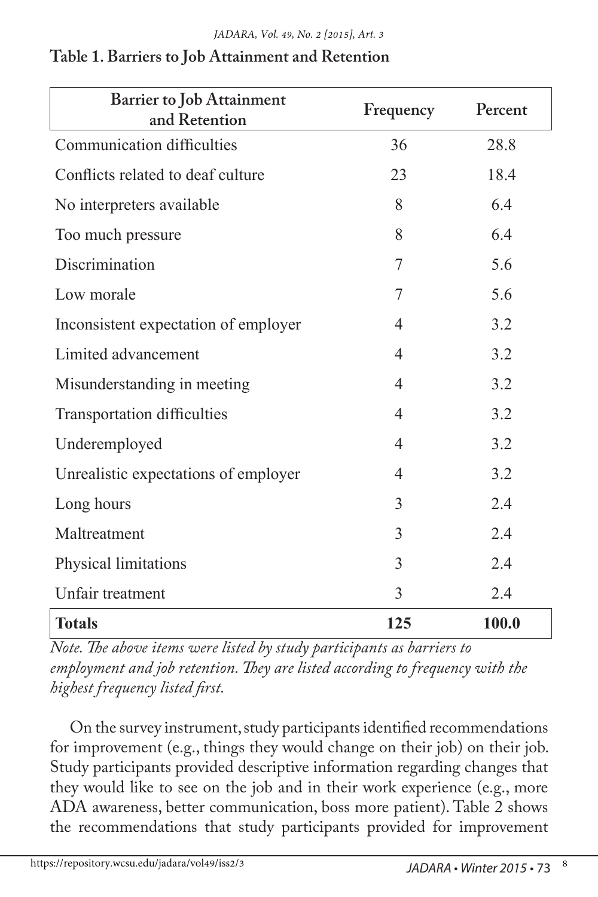| <b>Barrier to Job Attainment</b><br>and Retention | Frequency      | Percent |
|---------------------------------------------------|----------------|---------|
| Communication difficulties                        | 36             | 28.8    |
| Conflicts related to deaf culture                 | 23             | 18.4    |
| No interpreters available                         | 8              | 6.4     |
| Too much pressure                                 | 8              | 6.4     |
| Discrimination                                    | 7              | 5.6     |
| Low morale                                        | 7              | 5.6     |
| Inconsistent expectation of employer              | 4              | 3.2     |
| Limited advancement                               | $\overline{4}$ | 3.2     |
| Misunderstanding in meeting                       | $\overline{4}$ | 3.2     |
| <b>Transportation difficulties</b>                | $\overline{4}$ | 3.2     |
| Underemployed                                     | $\overline{4}$ | 3.2     |
| Unrealistic expectations of employer              | $\overline{4}$ | 3.2     |
| Long hours                                        | 3              | 2.4     |
| Maltreatment                                      | 3              | 2.4     |
| Physical limitations                              | 3              | 2.4     |
| Unfair treatment                                  | 3              | 2.4     |
| <b>Totals</b>                                     | 125            | 100.0   |

#### **Table 1. Barriers to Job Attainment and Retention**

*Note. The above items were listed by study participants as barriers to employment and job retention. They are listed according to frequency with the highest frequency listed first.* 

On the survey instrument, study participants identified recommendations for improvement (e.g., things they would change on their job) on their job. Study participants provided descriptive information regarding changes that they would like to see on the job and in their work experience (e.g., more ADA awareness, better communication, boss more patient). Table 2 shows the recommendations that study participants provided for improvement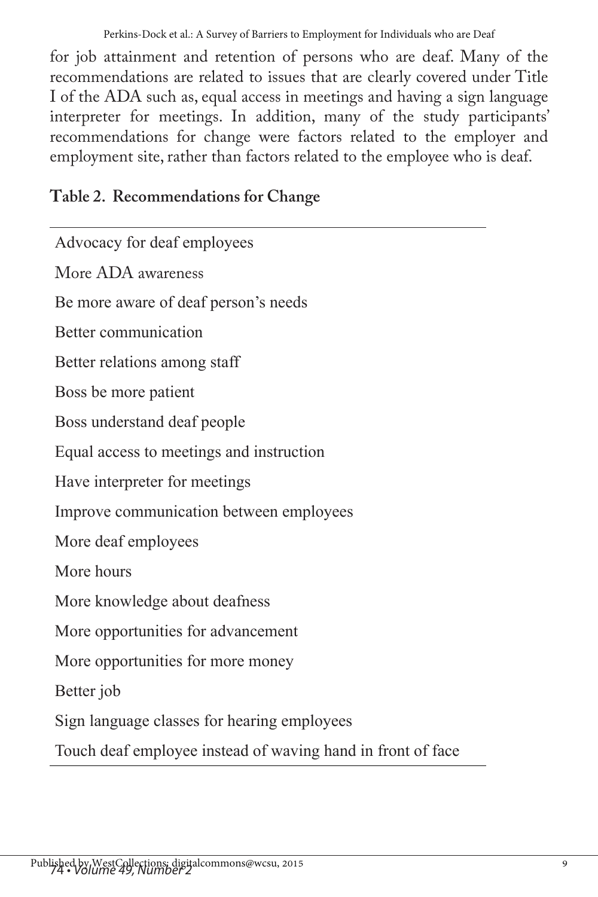for job attainment and retention of persons who are deaf. Many of the recommendations are related to issues that are clearly covered under Title I of the ADA such as, equal access in meetings and having a sign language interpreter for meetings. In addition, many of the study participants' recommendations for change were factors related to the employer and employment site, rather than factors related to the employee who is deaf.

# **Table 2. Recommendations for Change**

Advocacy for deaf employees More ADA awareness Be more aware of deaf person's needs Better communication Better relations among staff Boss be more patient Boss understand deaf people Equal access to meetings and instruction Have interpreter for meetings Improve communication between employees More deaf employees More hours More knowledge about deafness More opportunities for advancement More opportunities for more money Better job Sign language classes for hearing employees Touch deaf employee instead of waving hand in front of face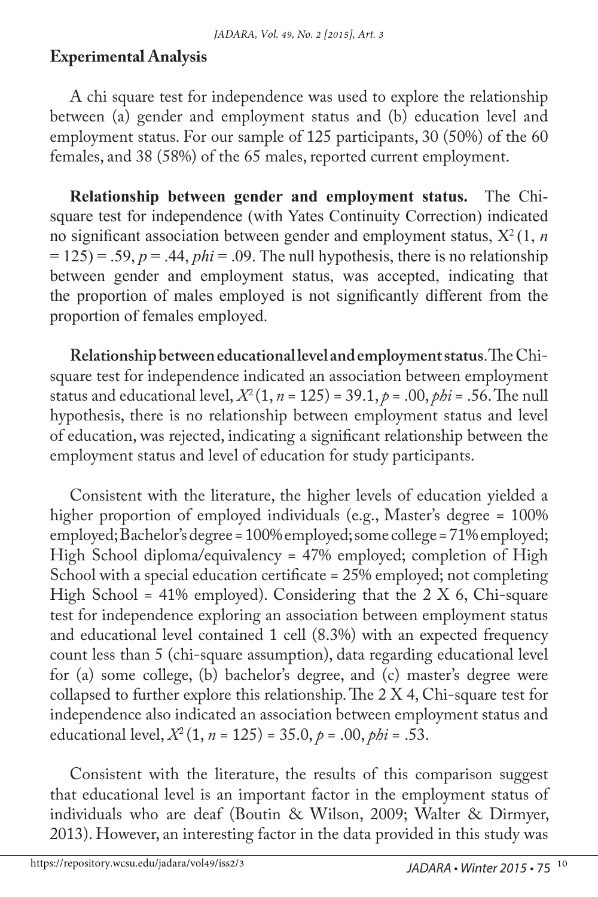#### **Experimental Analysis**

A chi square test for independence was used to explore the relationship between (a) gender and employment status and (b) education level and employment status. For our sample of 125 participants, 30 (50%) of the 60 females, and 38 (58%) of the 65 males, reported current employment.

**Relationship between gender and employment status.** The Chisquare test for independence (with Yates Continuity Correction) indicated no significant association between gender and employment status, Χ<sup>2</sup>(1, *n*   $= 125$ ) = .59,  $p = .44$ ,  $phi = .09$ . The null hypothesis, there is no relationship between gender and employment status, was accepted, indicating that the proportion of males employed is not significantly different from the proportion of females employed.

**Relationship between educational level and employment status**. The Chisquare test for independence indicated an association between employment status and educational level,  $X^2(1, n = 125) = 39.1, p = .00, \rho bi = .56$ . The null hypothesis, there is no relationship between employment status and level of education, was rejected, indicating a significant relationship between the employment status and level of education for study participants.

Consistent with the literature, the higher levels of education yielded a higher proportion of employed individuals (e.g., Master's degree = 100% employed; Bachelor's degree = 100% employed; some college = 71% employed; High School diploma/equivalency = 47% employed; completion of High School with a special education certificate = 25% employed; not completing High School = 41% employed). Considering that the  $2 \text{ X } 6$ , Chi-square test for independence exploring an association between employment status and educational level contained 1 cell (8.3%) with an expected frequency count less than 5 (chi-square assumption), data regarding educational level for (a) some college, (b) bachelor's degree, and (c) master's degree were collapsed to further explore this relationship. The 2 X 4, Chi-square test for independence also indicated an association between employment status and educational level,  $X^2(1, n = 125) = 35.0, p = .00, \rho bi = .53$ .

Consistent with the literature, the results of this comparison suggest that educational level is an important factor in the employment status of individuals who are deaf (Boutin & Wilson, 2009; Walter & Dirmyer, 2013). However, an interesting factor in the data provided in this study was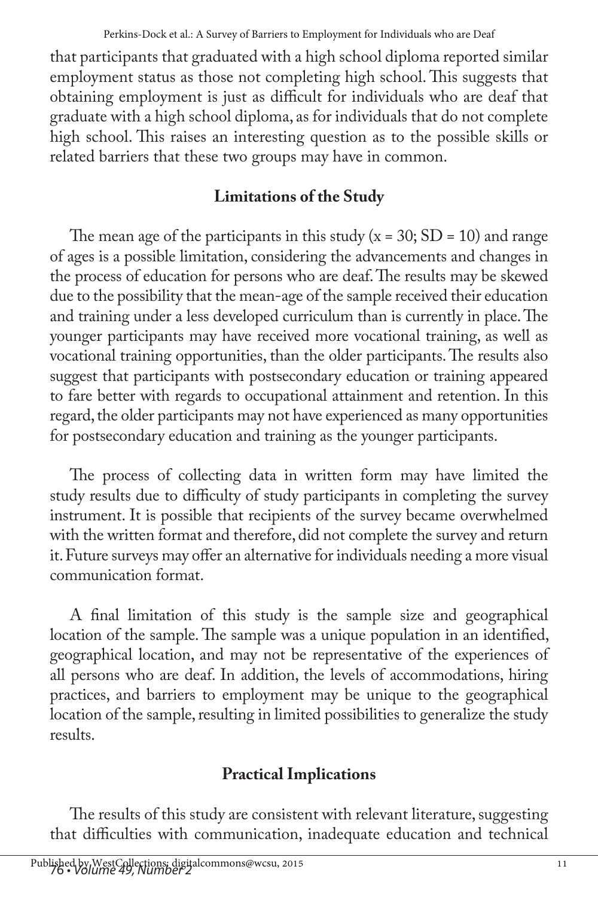that participants that graduated with a high school diploma reported similar employment status as those not completing high school. This suggests that obtaining employment is just as difficult for individuals who are deaf that graduate with a high school diploma, as for individuals that do not complete high school. This raises an interesting question as to the possible skills or related barriers that these two groups may have in common.

# **Limitations of the Study**

The mean age of the participants in this study ( $x = 30$ ; SD = 10) and range of ages is a possible limitation, considering the advancements and changes in the process of education for persons who are deaf. The results may be skewed due to the possibility that the mean-age of the sample received their education and training under a less developed curriculum than is currently in place. The younger participants may have received more vocational training, as well as vocational training opportunities, than the older participants. The results also suggest that participants with postsecondary education or training appeared to fare better with regards to occupational attainment and retention. In this regard, the older participants may not have experienced as many opportunities for postsecondary education and training as the younger participants.

The process of collecting data in written form may have limited the study results due to difficulty of study participants in completing the survey instrument. It is possible that recipients of the survey became overwhelmed with the written format and therefore, did not complete the survey and return it. Future surveys may offer an alternative for individuals needing a more visual communication format.

A final limitation of this study is the sample size and geographical location of the sample. The sample was a unique population in an identified, geographical location, and may not be representative of the experiences of all persons who are deaf. In addition, the levels of accommodations, hiring practices, and barriers to employment may be unique to the geographical location of the sample, resulting in limited possibilities to generalize the study results.

# **Practical Implications**

The results of this study are consistent with relevant literature, suggesting that difficulties with communication, inadequate education and technical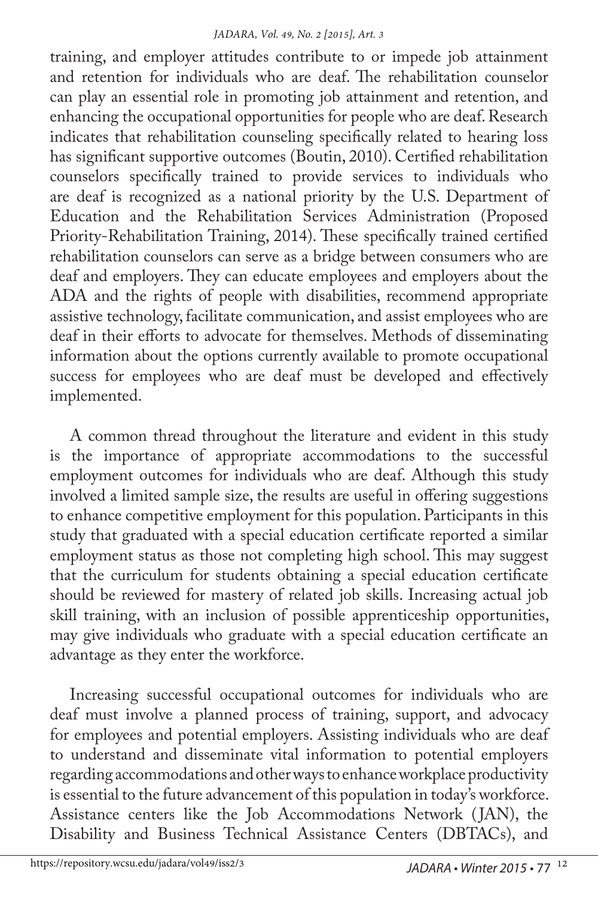training, and employer attitudes contribute to or impede job attainment and retention for individuals who are deaf. The rehabilitation counselor can play an essential role in promoting job attainment and retention, and enhancing the occupational opportunities for people who are deaf. Research indicates that rehabilitation counseling specifically related to hearing loss has significant supportive outcomes (Boutin, 2010). Certified rehabilitation counselors specifically trained to provide services to individuals who are deaf is recognized as a national priority by the U.S. Department of Education and the Rehabilitation Services Administration (Proposed Priority-Rehabilitation Training, 2014). These specifically trained certified rehabilitation counselors can serve as a bridge between consumers who are deaf and employers. They can educate employees and employers about the ADA and the rights of people with disabilities, recommend appropriate assistive technology, facilitate communication, and assist employees who are deaf in their efforts to advocate for themselves. Methods of disseminating information about the options currently available to promote occupational success for employees who are deaf must be developed and effectively implemented.

A common thread throughout the literature and evident in this study is the importance of appropriate accommodations to the successful employment outcomes for individuals who are deaf. Although this study involved a limited sample size, the results are useful in offering suggestions to enhance competitive employment for this population. Participants in this study that graduated with a special education certificate reported a similar employment status as those not completing high school. This may suggest that the curriculum for students obtaining a special education certificate should be reviewed for mastery of related job skills. Increasing actual job skill training, with an inclusion of possible apprenticeship opportunities, may give individuals who graduate with a special education certificate an advantage as they enter the workforce.

Increasing successful occupational outcomes for individuals who are deaf must involve a planned process of training, support, and advocacy for employees and potential employers. Assisting individuals who are deaf to understand and disseminate vital information to potential employers regarding accommodations and other ways to enhance workplace productivity is essential to the future advancement of this population in today's workforce. Assistance centers like the Job Accommodations Network ( JAN), the Disability and Business Technical Assistance Centers (DBTACs), and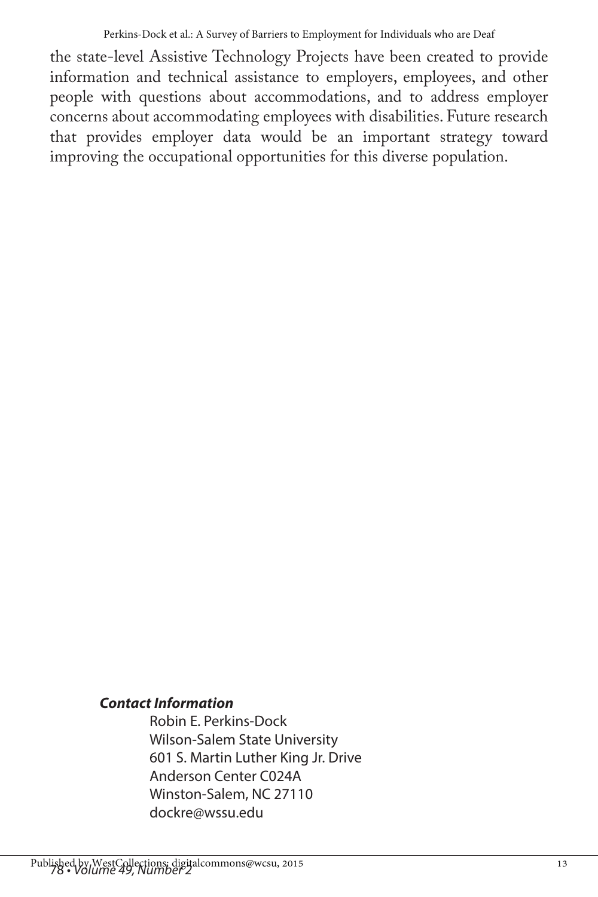the state-level Assistive Technology Projects have been created to provide information and technical assistance to employers, employees, and other people with questions about accommodations, and to address employer concerns about accommodating employees with disabilities. Future research that provides employer data would be an important strategy toward improving the occupational opportunities for this diverse population.

#### *Contact Information*

Robin E. Perkins-Dock Wilson-Salem State University 601 S. Martin Luther King Jr. Drive Anderson Center C024A Winston-Salem, NC 27110 dockre@wssu.edu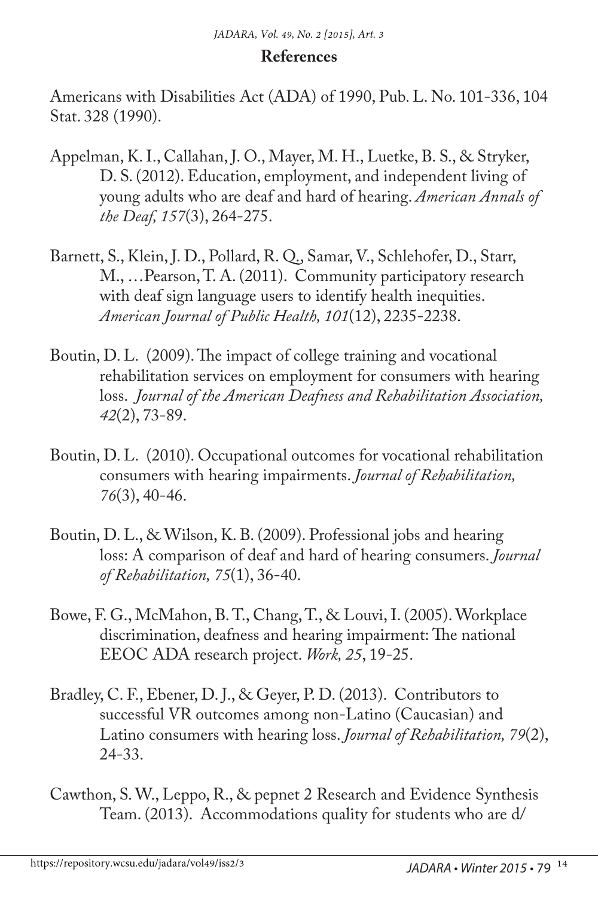#### **References**

Americans with Disabilities Act (ADA) of 1990, Pub. L. No. 101-336, 104 Stat. 328 (1990).

- Appelman, K. I., Callahan, J. O., Mayer, M. H., Luetke, B. S., & Stryker, D. S. (2012). Education, employment, and independent living of young adults who are deaf and hard of hearing. *American Annals of the Deaf, 157*(3), 264-275.
- Barnett, S., Klein, J. D., Pollard, R. Q., Samar, V., Schlehofer, D., Starr, M., …Pearson, T. A. (2011). Community participatory research with deaf sign language users to identify health inequities. *American Journal of Public Health, 101*(12), 2235-2238.
- Boutin, D. L. (2009). The impact of college training and vocational rehabilitation services on employment for consumers with hearing loss. *Journal of the American Deafness and Rehabilitation Association, 42*(2), 73-89.
- Boutin, D. L. (2010). Occupational outcomes for vocational rehabilitation consumers with hearing impairments. *Journal of Rehabilitation, 76*(3), 40-46.
- Boutin, D. L., & Wilson, K. B. (2009). Professional jobs and hearing loss: A comparison of deaf and hard of hearing consumers. *Journal of Rehabilitation, 75*(1), 36-40.
- Bowe, F. G., McMahon, B. T., Chang, T., & Louvi, I. (2005). Workplace discrimination, deafness and hearing impairment: The national EEOC ADA research project. *Work, 25*, 19-25.
- Bradley, C. F., Ebener, D. J., & Geyer, P. D. (2013). Contributors to successful VR outcomes among non-Latino (Caucasian) and Latino consumers with hearing loss. *Journal of Rehabilitation, 79*(2), 24-33.
- Cawthon, S. W., Leppo, R., & pepnet 2 Research and Evidence Synthesis Team. (2013). Accommodations quality for students who are d/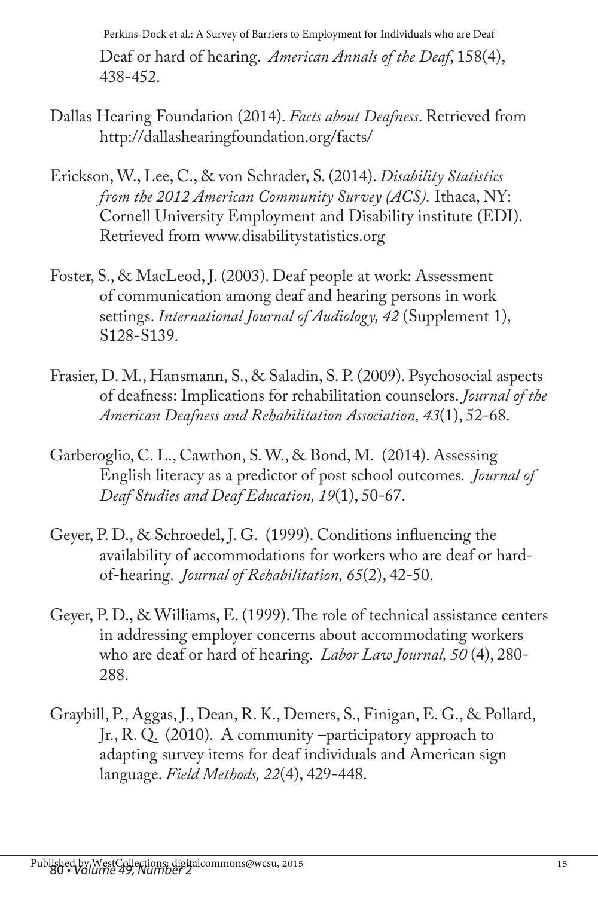Perkins-Dock et al.: A Survey of Barriers to Employment for Individuals who are Deaf

Deaf or hard of hearing. *American Annals of the Deaf*, 158(4), 438-452.

- Dallas Hearing Foundation (2014). *Facts about Deafness*. Retrieved from http://dallashearingfoundation.org/facts/
- Erickson, W., Lee, C., & von Schrader, S. (2014). *Disability Statistics from the 2012 American Community Survey (ACS).* Ithaca, NY: Cornell University Employment and Disability institute (EDI). Retrieved from www.disabilitystatistics.org
- Foster, S., & MacLeod, J. (2003). Deaf people at work: Assessment of communication among deaf and hearing persons in work settings. *International Journal of Audiology, 42* (Supplement 1), S128-S139.
- Frasier, D. M., Hansmann, S., & Saladin, S. P. (2009). Psychosocial aspects of deafness: Implications for rehabilitation counselors. *Journal of the American Deafness and Rehabilitation Association, 43*(1), 52-68.
- Garberoglio, C. L., Cawthon, S. W., & Bond, M. (2014). Assessing English literacy as a predictor of post school outcomes*. Journal of Deaf Studies and Deaf Education, 19*(1), 50-67.
- Geyer, P. D., & Schroedel, J. G. (1999). Conditions influencing the availability of accommodations for workers who are deaf or hardof-hearing. *Journal of Rehabilitation, 65*(2), 42-50.
- Geyer, P. D., & Williams, E. (1999). The role of technical assistance centers in addressing employer concerns about accommodating workers who are deaf or hard of hearing. *Labor Law Journal, 50* (4), 280- 288.
- Graybill, P., Aggas, J., Dean, R. K., Demers, S., Finigan, E. G., & Pollard, Jr., R. Q. (2010). A community –participatory approach to adapting survey items for deaf individuals and American sign language. *Field Methods, 22*(4), 429-448.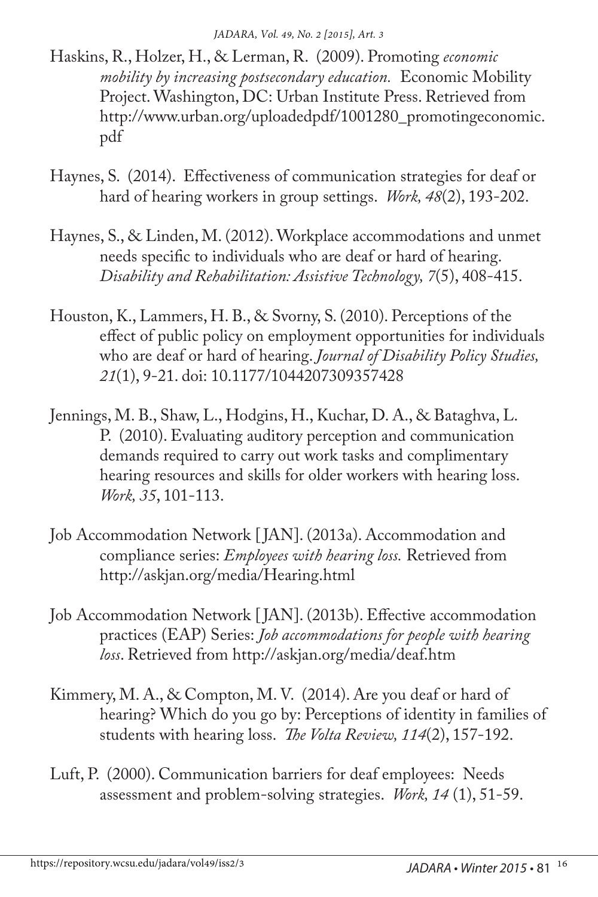- Haskins, R., Holzer, H., & Lerman, R. (2009). Promoting *economic mobility by increasing postsecondary education.* Economic Mobility Project. Washington, DC: Urban Institute Press. Retrieved from http://www.urban.org/uploadedpdf/1001280\_promotingeconomic. pdf
- Haynes, S. (2014). Effectiveness of communication strategies for deaf or hard of hearing workers in group settings. *Work, 48*(2), 193-202.
- Haynes, S., & Linden, M. (2012). Workplace accommodations and unmet needs specific to individuals who are deaf or hard of hearing. *Disability and Rehabilitation: Assistive Technology, 7*(5), 408-415.
- Houston, K., Lammers, H. B., & Svorny, S. (2010). Perceptions of the effect of public policy on employment opportunities for individuals who are deaf or hard of hearing. *Journal of Disability Policy Studies, 21*(1), 9-21. doi: 10.1177/1044207309357428
- Jennings, M. B., Shaw, L., Hodgins, H., Kuchar, D. A., & Bataghva, L. P. (2010). Evaluating auditory perception and communication demands required to carry out work tasks and complimentary hearing resources and skills for older workers with hearing loss. *Work, 35*, 101-113.
- Job Accommodation Network [ JAN]. (2013a). Accommodation and compliance series: *Employees with hearing loss.* Retrieved from http://askjan.org/media/Hearing.html
- Job Accommodation Network [ JAN]. (2013b). Effective accommodation practices (EAP) Series: *Job accommodations for people with hearing loss*. Retrieved from http://askjan.org/media/deaf.htm
- Kimmery, M. A., & Compton, M. V. (2014). Are you deaf or hard of hearing? Which do you go by: Perceptions of identity in families of students with hearing loss. *The Volta Review, 114*(2), 157-192.
- Luft, P. (2000). Communication barriers for deaf employees: Needs assessment and problem-solving strategies. *Work, 14* (1), 51-59.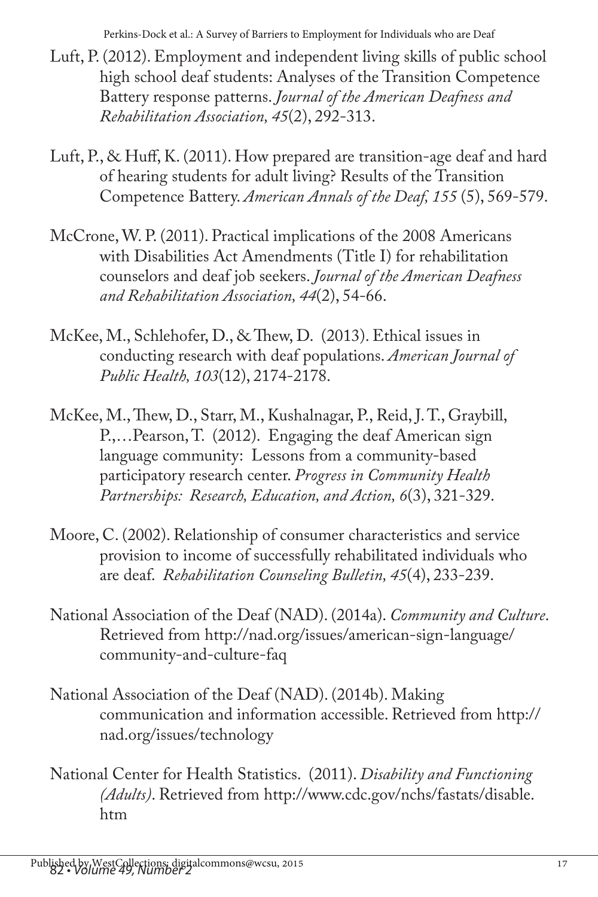Perkins-Dock et al.: A Survey of Barriers to Employment for Individuals who are Deaf

- Luft, P. (2012). Employment and independent living skills of public school high school deaf students: Analyses of the Transition Competence Battery response patterns. *Journal of the American Deafness and Rehabilitation Association, 45*(2), 292-313.
- Luft, P., & Huff, K. (2011). How prepared are transition-age deaf and hard of hearing students for adult living? Results of the Transition Competence Battery. *American Annals of the Deaf, 155* (5), 569-579.
- McCrone, W. P. (2011). Practical implications of the 2008 Americans with Disabilities Act Amendments (Title I) for rehabilitation counselors and deaf job seekers. *Journal of the American Deafness and Rehabilitation Association, 44*(2), 54-66.
- McKee, M., Schlehofer, D., & Thew, D. (2013). Ethical issues in conducting research with deaf populations. *American Journal of Public Health, 103*(12), 2174-2178.
- McKee, M., Thew, D., Starr, M., Kushalnagar, P., Reid, J. T., Graybill, P.,…Pearson, T. (2012). Engaging the deaf American sign language community: Lessons from a community-based participatory research center. *Progress in Community Health Partnerships: Research, Education, and Action, 6*(3), 321-329.
- Moore, C. (2002). Relationship of consumer characteristics and service provision to income of successfully rehabilitated individuals who are deaf. *Rehabilitation Counseling Bulletin, 45*(4), 233-239.
- National Association of the Deaf (NAD). (2014a). *Community and Culture*. Retrieved from http://nad.org/issues/american-sign-language/ community-and-culture-faq
- National Association of the Deaf (NAD). (2014b). Making communication and information accessible. Retrieved from http:// nad.org/issues/technology
- National Center for Health Statistics. (2011). *Disability and Functioning (Adults)*. Retrieved from http://www.cdc.gov/nchs/fastats/disable. htm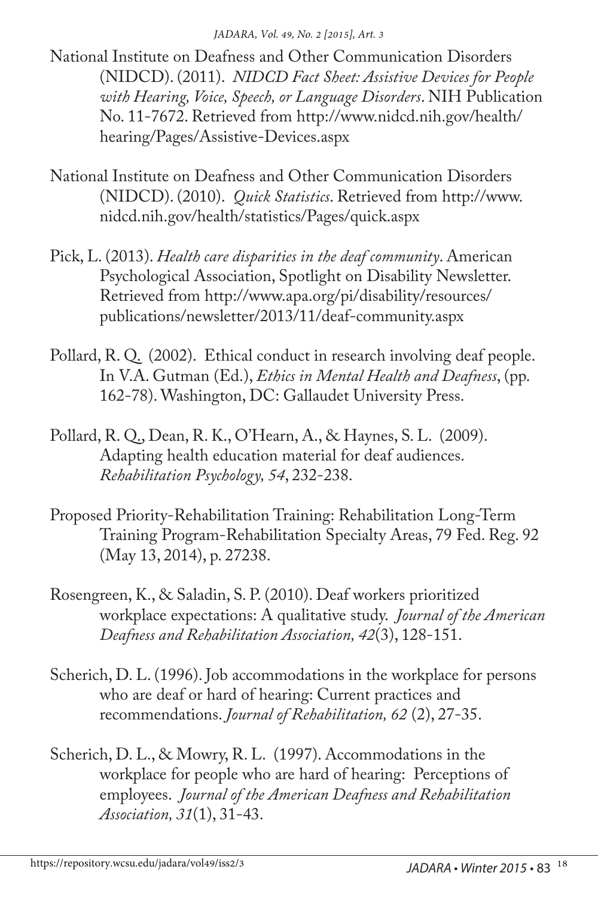*JADARA, Vol. 49, No. 2 [2015], Art. 3*

National Institute on Deafness and Other Communication Disorders (NIDCD). (2011). *NIDCD Fact Sheet: Assistive Devices for People with Hearing, Voice, Speech, or Language Disorders*. NIH Publication No. 11-7672. Retrieved from http://www.nidcd.nih.gov/health/ hearing/Pages/Assistive-Devices.aspx

- National Institute on Deafness and Other Communication Disorders (NIDCD). (2010). *Quick Statistics*. Retrieved from http://www. nidcd.nih.gov/health/statistics/Pages/quick.aspx
- Pick, L. (2013). *Health care disparities in the deaf community*. American Psychological Association, Spotlight on Disability Newsletter. Retrieved from http://www.apa.org/pi/disability/resources/ publications/newsletter/2013/11/deaf-community.aspx
- Pollard, R. Q. (2002). Ethical conduct in research involving deaf people. In V.A. Gutman (Ed.), *Ethics in Mental Health and Deafness*, (pp. 162-78). Washington, DC: Gallaudet University Press.
- Pollard, R. Q., Dean, R. K., O'Hearn, A., & Haynes, S. L. (2009). Adapting health education material for deaf audiences. *Rehabilitation Psychology, 54*, 232-238.
- Proposed Priority-Rehabilitation Training: Rehabilitation Long-Term Training Program-Rehabilitation Specialty Areas, 79 Fed. Reg. 92 (May 13, 2014), p. 27238.
- Rosengreen, K., & Saladin, S. P. (2010). Deaf workers prioritized workplace expectations: A qualitative study. *Journal of the American Deafness and Rehabilitation Association, 42*(3), 128-151.
- Scherich, D. L. (1996). Job accommodations in the workplace for persons who are deaf or hard of hearing: Current practices and recommendations. *Journal of Rehabilitation, 62* (2), 27-35.
- Scherich, D. L., & Mowry, R. L. (1997). Accommodations in the workplace for people who are hard of hearing: Perceptions of employees. *Journal of the American Deafness and Rehabilitation Association, 31*(1), 31-43.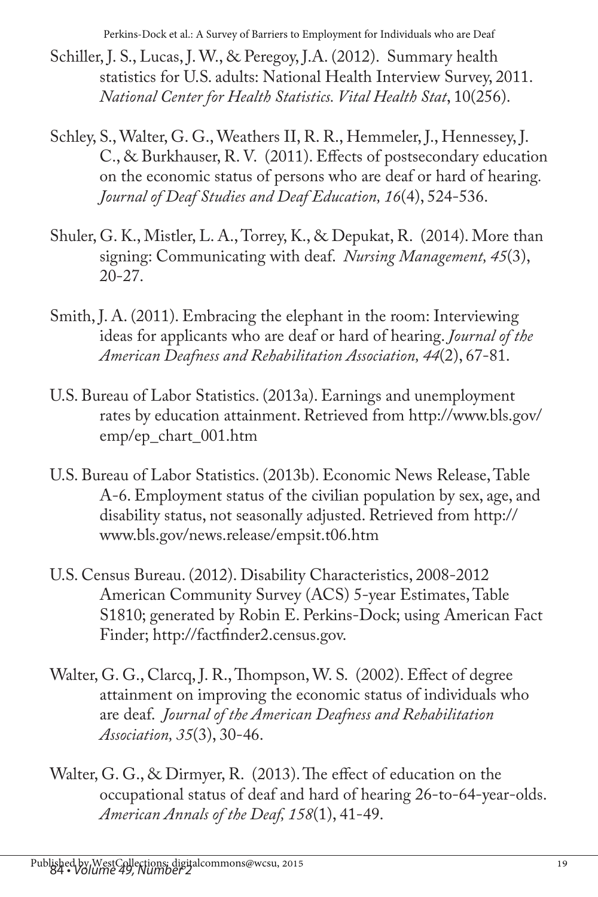- Schiller, J. S., Lucas, J. W., & Peregoy, J.A. (2012). Summary health statistics for U.S. adults: National Health Interview Survey, 2011. *National Center for Health Statistics. Vital Health Stat*, 10(256).
- Schley, S., Walter, G. G., Weathers II, R. R., Hemmeler, J., Hennessey, J. C., & Burkhauser, R. V. (2011). Effects of postsecondary education on the economic status of persons who are deaf or hard of hearing*. Journal of Deaf Studies and Deaf Education, 16*(4), 524-536.
- Shuler, G. K., Mistler, L. A., Torrey, K., & Depukat, R. (2014). More than signing: Communicating with deaf. *Nursing Management, 45*(3), 20-27.
- Smith, J. A. (2011). Embracing the elephant in the room: Interviewing ideas for applicants who are deaf or hard of hearing. *Journal of the American Deafness and Rehabilitation Association, 44*(2), 67-81.
- U.S. Bureau of Labor Statistics. (2013a). Earnings and unemployment rates by education attainment. Retrieved from http://www.bls.gov/ emp/ep\_chart\_001.htm
- U.S. Bureau of Labor Statistics. (2013b). Economic News Release, Table A-6. Employment status of the civilian population by sex, age, and disability status, not seasonally adjusted. Retrieved from http:// www.bls.gov/news.release/empsit.t06.htm
- U.S. Census Bureau. (2012). Disability Characteristics, 2008-2012 American Community Survey (ACS) 5-year Estimates, Table S1810; generated by Robin E. Perkins-Dock; using American Fact Finder; http://factfinder2.census.gov.
- Walter, G. G., Clarcq, J. R., Thompson, W. S. (2002). Effect of degree attainment on improving the economic status of individuals who are deaf. *Journal of the American Deafness and Rehabilitation Association, 35*(3), 30-46.
- Walter, G. G., & Dirmyer, R. (2013). The effect of education on the occupational status of deaf and hard of hearing 26-to-64-year-olds. *American Annals of the Deaf, 158*(1), 41-49.